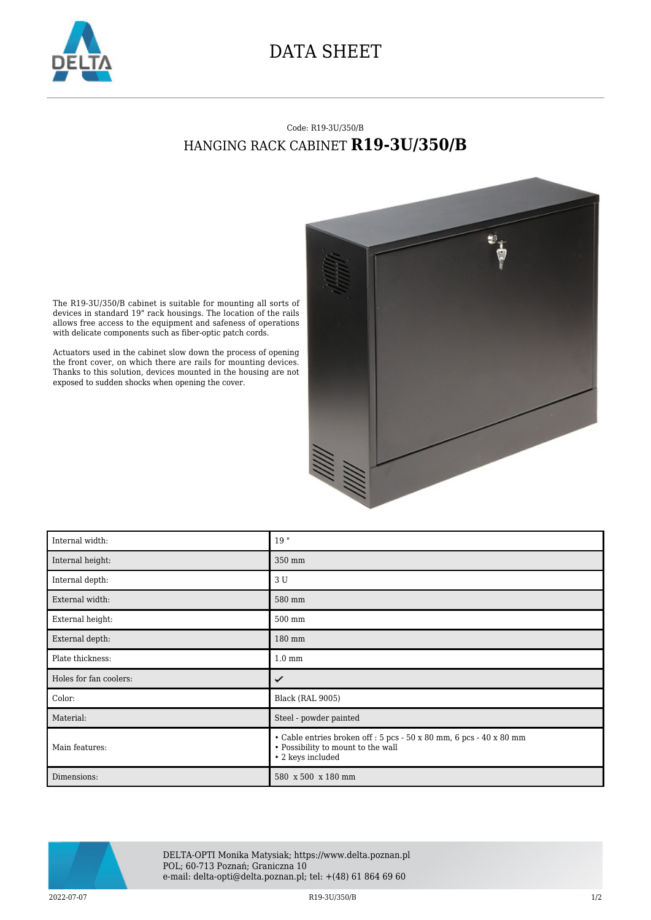

## DATA SHEET

## Code: R19-3U/350/B HANGING RACK CABINET **R19-3U/350/B**



The R19-3U/350/B cabinet is suitable for mounting all sorts of devices in standard 19" rack housings. The location of the rails allows free access to the equipment and safeness of operations with delicate components such as fiber-optic patch cords.

Actuators used in the cabinet slow down the process of opening the front cover, on which there are rails for mounting devices. Thanks to this solution, devices mounted in the housing are not exposed to sudden shocks when opening the cover.

| Internal width:        | 19"                                                                                                                            |
|------------------------|--------------------------------------------------------------------------------------------------------------------------------|
| Internal height:       | 350 mm                                                                                                                         |
| Internal depth:        | 3 U                                                                                                                            |
| External width:        | 580 mm                                                                                                                         |
| External height:       | 500 mm                                                                                                                         |
| External depth:        | 180 mm                                                                                                                         |
| Plate thickness:       | $1.0 \text{ mm}$                                                                                                               |
| Holes for fan coolers: | ✓                                                                                                                              |
| Color:                 | Black (RAL 9005)                                                                                                               |
| Material:              | Steel - powder painted                                                                                                         |
| Main features:         | • Cable entries broken off : 5 pcs - 50 x 80 mm, 6 pcs - 40 x 80 mm<br>• Possibility to mount to the wall<br>• 2 keys included |
| Dimensions:            | 580 x 500 x 180 mm                                                                                                             |



DELTA-OPTI Monika Matysiak; https://www.delta.poznan.pl POL; 60-713 Poznań; Graniczna 10 e-mail: delta-opti@delta.poznan.pl; tel: +(48) 61 864 69 60

 $R19-3U/350/B$   $R19-3U/350/B$   $R19-3U/350/B$   $1/2$